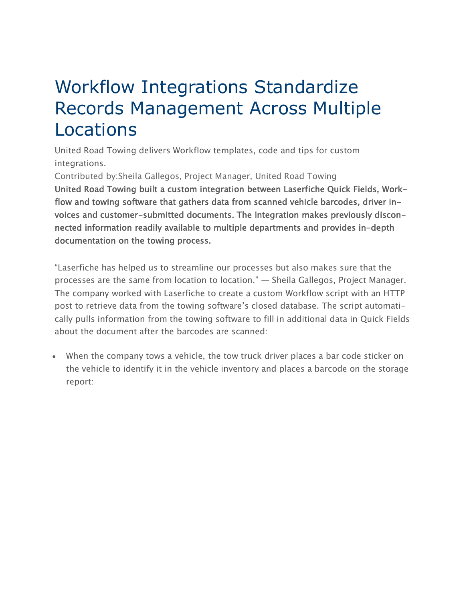## Workflow Integrations Standardize Records Management Across Multiple Locations

United Road Towing delivers Workflow templates, code and tips for custom integrations.

Contributed by:Sheila Gallegos, Project Manager, United Road Towing

United Road Towing built a custom integration between Laserfiche Quick Fields, Workflow and towing software that gathers data from scanned vehicle barcodes, driver invoices and customer-submitted documents. The integration makes previously disconnected information readily available to multiple departments and provides in-depth documentation on the towing process.

"Laserfiche has helped us to streamline our processes but also makes sure that the processes are the same from location to location." — Sheila Gallegos, Project Manager. The company worked with Laserfiche to create a custom Workflow script with an HTTP post to retrieve data from the towing software's closed database. The script automatically pulls information from the towing software to fill in additional data in Quick Fields about the document after the barcodes are scanned:

 When the company tows a vehicle, the tow truck driver places a bar code sticker on the vehicle to identify it in the vehicle inventory and places a barcode on the storage report: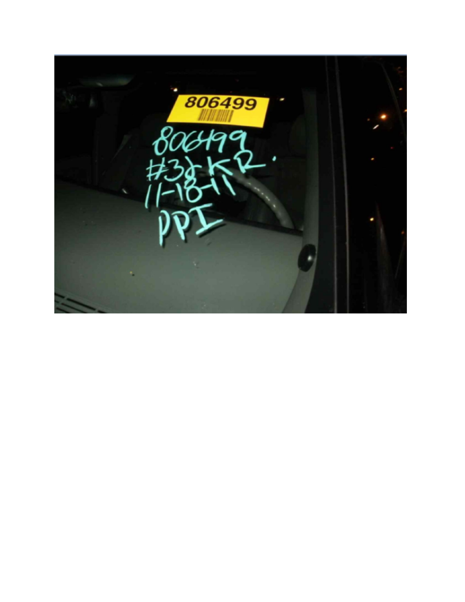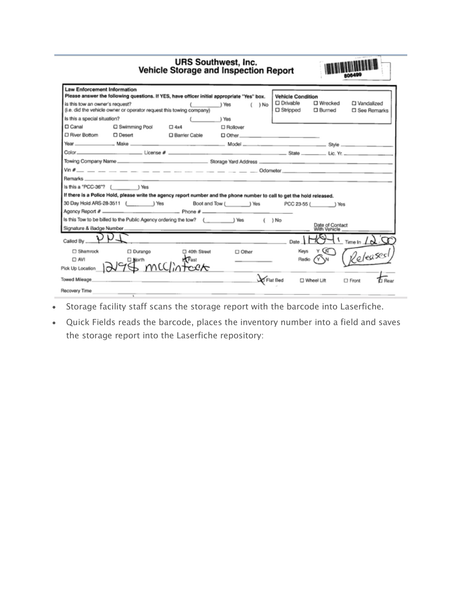| <b>URS Southwest, Inc.</b><br><b>Vehicle Storage and Inspection Report</b>                                                       |                                                  |                 |                                                                                                                         |                              | 806499                          |                   |  |
|----------------------------------------------------------------------------------------------------------------------------------|--------------------------------------------------|-----------------|-------------------------------------------------------------------------------------------------------------------------|------------------------------|---------------------------------|-------------------|--|
| <b>Law Enforcement Information</b>                                                                                               |                                                  |                 | Please answer the following questions. If YES, have officer initial appropriate "Yes" box.                              | <b>Vehicle Condition</b>     |                                 |                   |  |
| is this tow an owner's request?<br>( ) Yes<br>$($ $)$ No<br>(i.e. did the vehicle owner or operator request this towing company) |                                                  |                 | $\square$ Drivable<br>$\Box$ Stripped                                                                                   | □ Wrecked<br><b>D</b> Burned | □ Vandalized                    | □ See Remarks     |  |
| Is this a special situation?                                                                                                     |                                                  | yes /           |                                                                                                                         |                              |                                 |                   |  |
| $\Box$ Canal                                                                                                                     | □ Swimming Pool                                  | $\Box$ 4x4      | $\Box$ Rollover                                                                                                         |                              |                                 |                   |  |
| D River Bottom                                                                                                                   | □ Desert                                         | □ Barrier Cable |                                                                                                                         |                              |                                 |                   |  |
|                                                                                                                                  |                                                  |                 |                                                                                                                         |                              |                                 |                   |  |
|                                                                                                                                  |                                                  |                 |                                                                                                                         |                              |                                 |                   |  |
|                                                                                                                                  |                                                  |                 |                                                                                                                         |                              |                                 |                   |  |
|                                                                                                                                  |                                                  |                 |                                                                                                                         |                              |                                 |                   |  |
|                                                                                                                                  |                                                  |                 |                                                                                                                         |                              |                                 |                   |  |
| Is this a "PCC-36"? ( ) Yes                                                                                                      |                                                  |                 |                                                                                                                         |                              |                                 |                   |  |
|                                                                                                                                  |                                                  |                 | If there is a Police Hold, please write the agency report number and the phone number to call to get the hold released. |                              |                                 |                   |  |
|                                                                                                                                  | 30 Day Hold ARS-28-3511 (Change 1) Yes           |                 | Boot and Tow ( ) Yes PCC 23-55 ( ) Yes                                                                                  |                              |                                 |                   |  |
|                                                                                                                                  |                                                  |                 |                                                                                                                         |                              |                                 |                   |  |
|                                                                                                                                  |                                                  |                 | Is this Tow to be billed to the Public Agency ordering the tow? ( _________ ) Yes ( ) No                                |                              |                                 |                   |  |
|                                                                                                                                  |                                                  |                 |                                                                                                                         |                              | Date of Contact<br>With Vehicle |                   |  |
| Called By                                                                                                                        |                                                  |                 | $Date \sim 1$                                                                                                           |                              |                                 | Time In $\Lambda$ |  |
| □ Shamrock                                                                                                                       | □ Durango                                        | C 40th Street   | $\Box$ Other                                                                                                            | Keys                         |                                 |                   |  |
|                                                                                                                                  |                                                  |                 |                                                                                                                         | Radio                        |                                 | Releases          |  |
|                                                                                                                                  | Pick Up Location $\sqrt{2}$ Shorth MCC/in Focurt |                 |                                                                                                                         |                              |                                 |                   |  |
| <b>Towed Mileage</b>                                                                                                             |                                                  |                 | Flat Bed                                                                                                                |                              | □ Wheel Lift                    | $\Box$ Front      |  |
| <b>Recovery Time</b>                                                                                                             | $\lambda$                                        |                 |                                                                                                                         |                              |                                 |                   |  |

- Storage facility staff scans the storage report with the barcode into Laserfiche.
- Quick Fields reads the barcode, places the inventory number into a field and saves the storage report into the Laserfiche repository: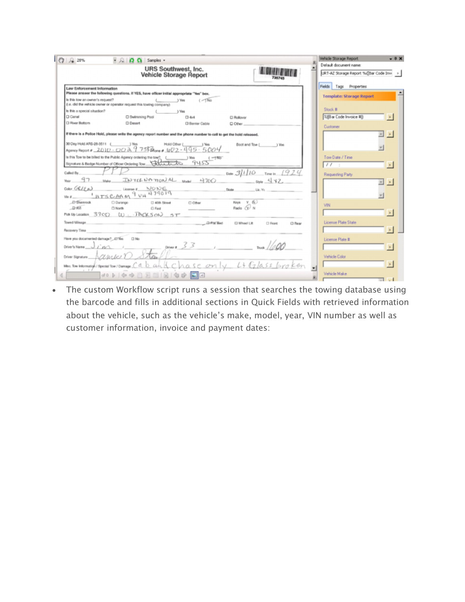| $ 39 $ $\sqrt{2}$ 28%                 | $\cdot$ $\Omega$ $\Omega$ Samples -                                                                                                                                                                                            |                               |                      |                                         | Vehicle Storage Report                                             | $-4x$                  |
|---------------------------------------|--------------------------------------------------------------------------------------------------------------------------------------------------------------------------------------------------------------------------------|-------------------------------|----------------------|-----------------------------------------|--------------------------------------------------------------------|------------------------|
|                                       |                                                                                                                                                                                                                                | <b>URS Southwest, Inc.</b>    |                      |                                         | Default document name:<br>URT-AZ Storage Report %([Bar Code Invv > |                        |
|                                       |                                                                                                                                                                                                                                | <b>Vehicle Storage Report</b> |                      |                                         |                                                                    |                        |
| <b>Law Enforcement Information</b>    | Please answer the following questions. If YES, have officer initial appropriate "Yes" box.                                                                                                                                     |                               |                      |                                         | Fields Tags Properties                                             |                        |
| Is this tow an owner's request?       | (i.e. did the vehicle owner or operator request this towing company)                                                                                                                                                           | $($ $\sqrt{1}$ No<br>) Vies   |                      |                                         | <b>Template: Storage Report</b>                                    |                        |
| Is this a special situation?          |                                                                                                                                                                                                                                | ) Viss                        |                      |                                         | Stock #                                                            |                        |
| <b>D</b> Canal                        | C Swimming Pool                                                                                                                                                                                                                | $\Box$ dx4                    | C Rollover           |                                         | 3:[Bar Code Invoice #])                                            |                        |
| <b>CI River Bottom</b>                | C Desert                                                                                                                                                                                                                       | C) Barrier Cable              | $\Box$ Other $\Box$  |                                         | <b>Customer</b>                                                    |                        |
|                                       | If there is a Police Hold, please write the agency report number and the phone number to call to get the hold released.                                                                                                        |                               |                      |                                         |                                                                    | $\rightarrow$<br>$\mu$ |
| 30 Day Hold ARS-28-3511 ( ) Yes       | Agancy Report # 2010 - 00 2 9 758 Rone # 1e02 - 495 - 500 4                                                                                                                                                                    | Hold Other (<br>1 Years       |                      | Boot and Tow ( ) Yos                    |                                                                    |                        |
|                                       | Is this Tow to be billed to the Public Agency ordering the tow? [Contract of the Division of the Division of the Division of the Division of the Division of the Division of the Division of the Division of the Division of t |                               |                      |                                         | Tow Date / Time                                                    |                        |
|                                       | Signature & Badge Number of Officer Ordering Tow District Law 9455                                                                                                                                                             |                               |                      |                                         | 11:                                                                |                        |
| Called By.                            |                                                                                                                                                                                                                                |                               |                      | Date $3110$ Time h $1924$               |                                                                    |                        |
| 97                                    | MAN HOTEL NOTTONAL MAN 4700                                                                                                                                                                                                    |                               |                      | $52010 - \frac{11}{2} + 2$              | Requesting Party                                                   |                        |
|                                       | CORE GREEN LIGOTOON NONE                                                                                                                                                                                                       |                               | State                | Like, Yie, Charles of Canada and Canada |                                                                    |                        |
|                                       |                                                                                                                                                                                                                                |                               |                      |                                         |                                                                    |                        |
| D'Shamrock                            | C) Durango<br>[] 40th Street                                                                                                                                                                                                   | Cl Other                      | Keys Y &             |                                         |                                                                    |                        |
| $-2751$                               | C North<br>C Fast                                                                                                                                                                                                              |                               | Rado Q N             |                                         | VIN.                                                               |                        |
|                                       | MoklipLocation 3300 W. JACKSON ST                                                                                                                                                                                              |                               |                      |                                         |                                                                    | $\,$                   |
| Towed Mileage                         | D-FtX Bed                                                                                                                                                                                                                      |                               | <b>CJ Wheel Litt</b> | □ Fepet<br>C) Rear                      | License Plate State                                                |                        |
| Recovery Time                         |                                                                                                                                                                                                                                |                               |                      |                                         |                                                                    |                        |
| Have you documented damage? LTNs CINo |                                                                                                                                                                                                                                |                               |                      |                                         | License Plate #                                                    |                        |
| Driver's Name J / M /                 |                                                                                                                                                                                                                                | $23$ metal $1/200$            |                      |                                         |                                                                    |                        |
| $Downesquare \ (Qualc)$               |                                                                                                                                                                                                                                |                               |                      |                                         | Vehicle Color                                                      |                        |
|                                       | Mac Tow internation/1800001 Tow / Damage Cabah & Chase only Lt Glass broken                                                                                                                                                    |                               |                      |                                         |                                                                    |                        |
|                                       |                                                                                                                                                                                                                                |                               |                      |                                         | Vehicle Make                                                       |                        |
|                                       |                                                                                                                                                                                                                                |                               |                      |                                         |                                                                    |                        |

• The custom Workflow script runs a session that searches the towing database using the barcode and fills in additional sections in Quick Fields with retrieved information about the vehicle, such as the vehicle's make, model, year, VIN number as well as customer information, invoice and payment dates: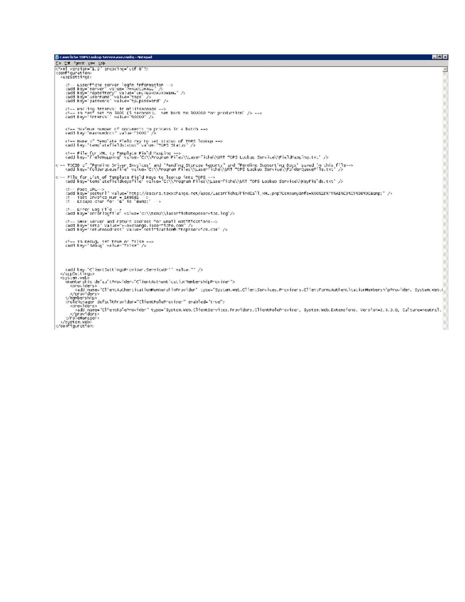| <b>B. Laserfiche TRPS Lookup Service execonfig - Notepad</b>                                                                                                                                                                                                        | 日間図 |
|---------------------------------------------------------------------------------------------------------------------------------------------------------------------------------------------------------------------------------------------------------------------|-----|
| Eb Edt Format Etwi Esb                                                                                                                                                                                                                                              |     |
| k?xml version="1.0" encocinc="utf-8"?>                                                                                                                                                                                                                              |     |
| coonfigurations<br>(appSettings)                                                                                                                                                                                                                                    |     |
| di-- Laserfiche server login information -->                                                                                                                                                                                                                        |     |
| cadd key="server" value="PEXSOCINAGE" /S                                                                                                                                                                                                                            |     |
| cadd key="repository" value="uniTEDROADTOWING" /><br>cadd key="username" value="tops" />                                                                                                                                                                            |     |
| cadd key="password" value="tp.password" />                                                                                                                                                                                                                          |     |
| Polling interval in milliseconds                                                                                                                                                                                                                                    |     |
| $\epsilon$ <sup>1</sup> -- In test set to 5000 (5 seconds). Set back to 800000 for production" $/$ > -->                                                                                                                                                            |     |
| cadd key-" interval" value="90000" />                                                                                                                                                                                                                               |     |
| PRximum number of documents to process in a batch                                                                                                                                                                                                                   |     |
| kadd key-'maxnumdocs" value-'1000' />                                                                                                                                                                                                                               |     |
|                                                                                                                                                                                                                                                                     |     |
| Name of Template Field Key to set status of TOPS lookup<br><add key='templatefieldstatus" value=' status'="" tops=""></add>                                                                                                                                         |     |
| k!-- File for XML to Template Field Mapping -->                                                                                                                                                                                                                     |     |
| kadd key="fieldnapping" value="C:\\Program"Piles\\Laserfiche\\URT TOP5 Lookup Service\\PieldMapping.txt" />                                                                                                                                                         |     |
| k!-- TOCID of "Pending Oriver Invoices" and "Pending Storage Reports" and "Pending Supporting Docs" saved in this file--><br>- sadd key="foldergueuefile" value="C:\\Program Files\\Lasemfiche\\URT TOPS Lookup Service\\PolderQu                                   |     |
|                                                                                                                                                                                                                                                                     |     |
| k!-- File for List of Template Field Keys to lookup into TOPS --><br>{  sadd key="templatefieldkeysfile" value="C:\\Program Files\\Laserfiche\\URT TOPS Lookup Service\\KeyFields.txt" />                                                                           |     |
|                                                                                                                                                                                                                                                                     |     |
| Post UPL                                                                                                                                                                                                                                                            |     |
| cadd key="posturl" value="http://secure.tow.chance.net/apps/LaserFiche/FindCall_NHL.php?CompanyInfo=X8001EXF9X41XC3XE9X08X05&ump" /><br>$d = Test$ Invoice Num = 148681 $\rightarrow$                                                                               |     |
| $d =$ Escape char for $W'$ is '&ano:' $\Longrightarrow$                                                                                                                                                                                                             |     |
| $d =$ Enror Log File $\rightarrow$                                                                                                                                                                                                                                  |     |
| cadd_key="errorlocfile"        value="c:\\tens\\laserfichetopsservice.log"/>                                                                                                                                                                                        |     |
| 4)-- SMIP Server and neturn address for Gmail Notifications-->                                                                                                                                                                                                      |     |
| caddi key="sma" value="v=exchange, laserfiche, con" /><br>kadd key-ineturnaddhess" value-inetitication@lftopsservice.com" />                                                                                                                                        |     |
|                                                                                                                                                                                                                                                                     |     |
| In Debug, set Irue on false                                                                                                                                                                                                                                         |     |
| cadd key-'debug' value-"false" />                                                                                                                                                                                                                                   |     |
|                                                                                                                                                                                                                                                                     |     |
|                                                                                                                                                                                                                                                                     |     |
|                                                                                                                                                                                                                                                                     |     |
| <add clientauthenticationnembershipprovider"="" key="clientsettingsProvider.serviceUni" value="' /&gt;&lt;br&gt;&lt;/scosettings&gt;&lt;/td&gt;&lt;td&gt;&lt;/td&gt;&lt;/tr&gt;&lt;tr&gt;&lt;td&gt;&lt;system.veb&gt;&lt;br&gt;stenbership default¤rovider="></add> |     |
| <onovidens></onovidens>                                                                                                                                                                                                                                             |     |
| kadd name="ClientAuthenticationMembershipProvider" type="System.Web.ClientServices.Providers.ClientFormsAuthenticationMembershipProvider. System.Web.f <br>                                                                                                         |     |
|                                                                                                                                                                                                                                                                     |     |
| <role%snager_defaultfrovider="clientroleprovider" enabled="true"><br/>conovidens&gt;</role%snager_defaultfrovider="clientroleprovider">                                                                                                                             |     |
| kadd name="ClientRoleProvider" type="System.Web.ClientServices.Froviders.ClientPoleProvider, System.Web.Extensions, Version=3.5.0.0, Culture=neutral,                                                                                                               |     |
| <br>c/roleHanceer>                                                                                                                                                                                                                                                  |     |
| (/system.web)                                                                                                                                                                                                                                                       |     |
| c/configuration:                                                                                                                                                                                                                                                    |     |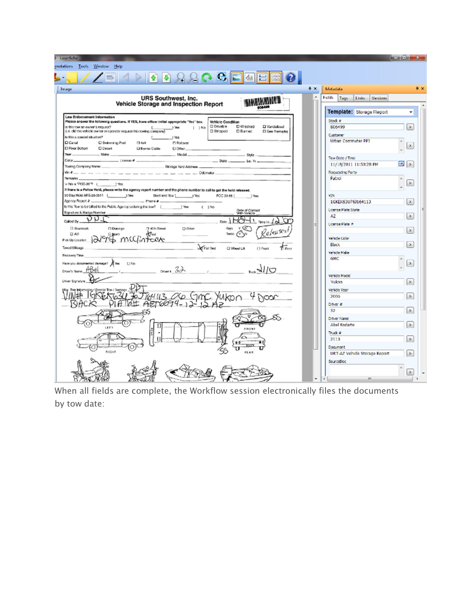| J - Laserfiche                                                                                                                                                                                                                                            |                                            | <b>Brown Claim</b><br>ж, |
|-----------------------------------------------------------------------------------------------------------------------------------------------------------------------------------------------------------------------------------------------------------|--------------------------------------------|--------------------------|
| inatations Tools Window<br>Help                                                                                                                                                                                                                           |                                            |                          |
| $\bullet \bullet \mathcal{R}$                                                                                                                                                                                                                             |                                            |                          |
| $4 \times$<br>Image                                                                                                                                                                                                                                       | Metadata                                   | $x *$                    |
| URS Southwest, Inc.<br>×                                                                                                                                                                                                                                  | Fields<br>Links<br><b>Versions</b><br>Tags |                          |
| <b>Vehicle Storage and Inspection Report</b>                                                                                                                                                                                                              |                                            |                          |
| Law Enforcement Information                                                                                                                                                                                                                               | Template: Storage Report                   | ۰                        |
| Please answer the following questions. If YES, have officer initial appropriate "Yes" box.<br>Vehicle Condition                                                                                                                                           | Stock #                                    |                          |
| C Drivable<br>D Wrecked<br>D Vandalized<br>is this tow an owner's request?<br>$\leftarrow$<br>) Yes<br>$1 \rightarrow N\sigma$<br>(i.e. did the vehicle owner or operator request this towing company)<br>$\square$ Stripped<br>D Bunned<br>D See Remarks | 806499                                     | $\geq$                   |
| <b>Creditation Interacts a skill at</b><br><b>J</b> Yes                                                                                                                                                                                                   | <b>Customer</b>                            |                          |
| C Canal<br>C Swimming Pool<br>$\square$ doel<br><b>D Rollover</b>                                                                                                                                                                                         | <b>Urban Commuter PP1</b>                  | Þ.                       |
| D River Bottom<br>D Desert<br><b>Q Berrier Cable</b><br><b>D</b> Other<br>Year Moles<br>Model                                                                                                                                                             |                                            |                          |
| $SMA =$<br>$-$ State Lie Yr $-$<br>Color_<br>$\frac{1}{2}$ Library $\theta$ $\frac{1}{2}$                                                                                                                                                                 | Tow Date / Time                            |                          |
| Towing Company Name<br>Storage Yard Address                                                                                                                                                                                                               | 11/18/2011 11:50:28 PM                     | æ,<br>$\rightarrow$      |
|                                                                                                                                                                                                                                                           | Requesting Party                           |                          |
| <b>Bernarks</b>                                                                                                                                                                                                                                           | Patrol                                     |                          |
| sthis a "POG-36"? ( ) Yes<br>If there is a Police Hold, please write the agency report number and the phone number to coll to get the hold released.                                                                                                      |                                            | $\geq$                   |
| 30 Day Hold ARS-28-3511 (Chang Director) West<br>Doct and Tow [ ] Yos<br>POC 23-55  <br>) Yes                                                                                                                                                             | VIN.                                       |                          |
| $-$ Prote $\theta$ $-$                                                                                                                                                                                                                                    | 1GKEK63U76J164113                          | $\geq$                   |
| Is this Tow to be billed to the Public Agency ordering the tow? (<br>1 Year<br>(1N <sub>0</sub> )<br>Date of Corract<br>With Vehicle                                                                                                                      | <b>Licence Plate State</b>                 |                          |
| Signature & Badge Number                                                                                                                                                                                                                                  | AZ                                         | $\rightarrow$            |
| りりす<br>Called By.<br>Dete.                                                                                                                                                                                                                                | <b>Ucence Plate #</b>                      |                          |
| ΥĢΓ<br><b>CI Sharrook</b><br><b>D</b> Dusrgo<br>7 40th Street<br><b>DOM</b><br>Keys<br>'elea%                                                                                                                                                             |                                            | $\rightarrow$            |
| Radio<br>TAN<br>Pad<br>w<br>D Both<br>lintexte<br>st mu<br>Pick Up Location                                                                                                                                                                               | Vehicle Color                              |                          |
| <b>LO Flat Bed</b><br>Towad Milaage<br>O Weel Lit.<br>□ Fixant<br>Fi Frer                                                                                                                                                                                 | Black                                      | $\rightarrow$            |
|                                                                                                                                                                                                                                                           | Wilsde Make                                |                          |
| <b>Recovery Time</b>                                                                                                                                                                                                                                      | <b>GMC</b>                                 |                          |
| Have you documented demage? A Yes [7] No<br>$U V_{\text{ext}}$<br>22<br>Diversitaria ABB                                                                                                                                                                  |                                            | $\vert$ $\vert$          |
|                                                                                                                                                                                                                                                           | Vehicle Model                              |                          |
| <b>Driver Signature</b>                                                                                                                                                                                                                                   | Yukon                                      | $\geq$                   |
| Special Tow / Damage                                                                                                                                                                                                                                      | Vehicle Year                               |                          |
| HU3 <i>0</i> 6                                                                                                                                                                                                                                            | 2005                                       | $\rightarrow$            |
| $AET6694 - 12 - 12$                                                                                                                                                                                                                                       | Driver #                                   |                          |
|                                                                                                                                                                                                                                                           | 32                                         | $\geq$                   |
|                                                                                                                                                                                                                                                           | <b>Driver Name</b>                         |                          |
| 166<br>EROMY                                                                                                                                                                                                                                              | Abel Rodarte                               | $\geq$                   |
|                                                                                                                                                                                                                                                           | Truck #                                    |                          |
|                                                                                                                                                                                                                                                           | 2113                                       | $\geq$                   |
|                                                                                                                                                                                                                                                           | Document <sub>1</sub>                      |                          |
| RIGHT<br>REAR                                                                                                                                                                                                                                             | URT-AZ Vehicle Storage Report              | $\geq$                   |
|                                                                                                                                                                                                                                                           | SourceDoc                                  |                          |
|                                                                                                                                                                                                                                                           |                                            | $\rightarrow$            |
| ۰                                                                                                                                                                                                                                                         | $\left\langle \cdot\right\rangle$<br>m     |                          |

When all fields are complete, the Workflow session electronically files the documents by tow date: